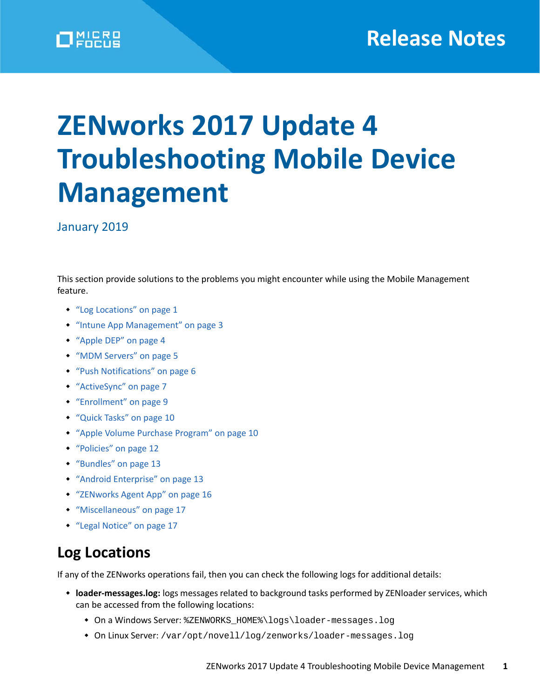# **ZENworks 2017 Update 4 Troubleshooting Mobile Device Management**

January 2019

This section provide solutions to the problems you might encounter while using the Mobile Management feature.

- ["Log Locations" on page 1](#page-0-0)
- ["Intune App Management" on page 3](#page-2-0)
- ["Apple DEP" on page 4](#page-3-0)
- ["MDM Servers" on page 5](#page-4-0)
- ["Push Notifications" on page 6](#page-5-0)
- ["ActiveSync" on page 7](#page-6-0)
- ["Enrollment" on page 9](#page-8-0)
- ["Quick Tasks" on page 10](#page-9-0)
- ["Apple Volume Purchase Program" on page 10](#page-9-1)
- ["Policies" on page 12](#page-11-0)
- ["Bundles" on page 13](#page-12-0)
- ["Android Enterprise" on page 13](#page-12-1)
- ["ZENworks Agent App" on page 16](#page-15-0)
- ["Miscellaneous" on page 17](#page-16-0)
- ["Legal Notice" on page 17](#page-16-1)

# <span id="page-0-0"></span>**Log Locations**

If any of the ZENworks operations fail, then you can check the following logs for additional details:

- **loader-messages.log:** logs messages related to background tasks performed by ZENloader services, which can be accessed from the following locations:
	- On a Windows Server: %ZENWORKS\_HOME%\logs\loader-messages.log
	- On Linux Server: /var/opt/novell/log/zenworks/loader-messages.log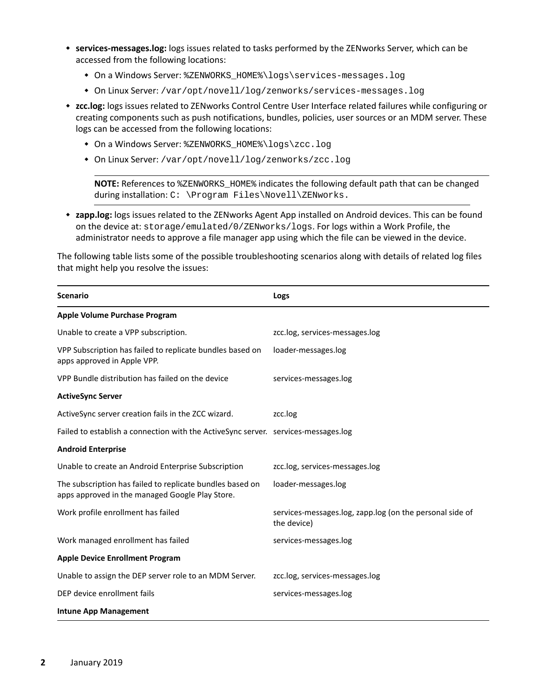- **services-messages.log:** logs issues related to tasks performed by the ZENworks Server, which can be accessed from the following locations:
	- On a Windows Server: %ZENWORKS\_HOME%\logs\services-messages.log
	- On Linux Server: /var/opt/novell/log/zenworks/services-messages.log
- **zcc.log:** logs issues related to ZENworks Control Centre User Interface related failures while configuring or creating components such as push notifications, bundles, policies, user sources or an MDM server. These logs can be accessed from the following locations:
	- On a Windows Server: %ZENWORKS\_HOME%\logs\zcc.log
	- On Linux Server: /var/opt/novell/log/zenworks/zcc.log

**NOTE:** References to %ZENWORKS\_HOME% indicates the following default path that can be changed during installation: C: \Program Files\Novell\ZENworks.

 **zapp.log:** logs issues related to the ZENworks Agent App installed on Android devices. This can be found on the device at: storage/emulated/0/ZENworks/logs. For logs within a Work Profile, the administrator needs to approve a file manager app using which the file can be viewed in the device.

The following table lists some of the possible troubleshooting scenarios along with details of related log files that might help you resolve the issues:

| <b>Scenario</b>                                                                                              | Logs                                                                    |
|--------------------------------------------------------------------------------------------------------------|-------------------------------------------------------------------------|
| Apple Volume Purchase Program                                                                                |                                                                         |
| Unable to create a VPP subscription.                                                                         | zcc.log, services-messages.log                                          |
| VPP Subscription has failed to replicate bundles based on<br>apps approved in Apple VPP.                     | loader-messages.log                                                     |
| VPP Bundle distribution has failed on the device                                                             | services-messages.log                                                   |
| <b>ActiveSync Server</b>                                                                                     |                                                                         |
| ActiveSync server creation fails in the ZCC wizard.                                                          | zcc.log                                                                 |
| Failed to establish a connection with the ActiveSync server. services-messages.log                           |                                                                         |
| <b>Android Enterprise</b>                                                                                    |                                                                         |
| Unable to create an Android Enterprise Subscription                                                          | zcc.log, services-messages.log                                          |
| The subscription has failed to replicate bundles based on<br>apps approved in the managed Google Play Store. | loader-messages.log                                                     |
| Work profile enrollment has failed                                                                           | services-messages.log, zapp.log (on the personal side of<br>the device) |
| Work managed enrollment has failed                                                                           | services-messages.log                                                   |
| <b>Apple Device Enrollment Program</b>                                                                       |                                                                         |
| Unable to assign the DEP server role to an MDM Server.                                                       | zcc.log, services-messages.log                                          |
| DEP device enrollment fails                                                                                  | services-messages.log                                                   |
| <b>Intune App Management</b>                                                                                 |                                                                         |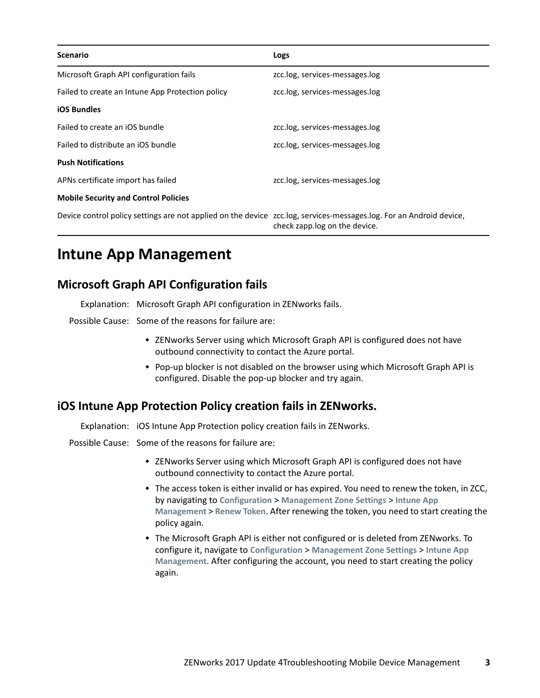| <b>Scenario</b>                                                                                                     | Logs                           |
|---------------------------------------------------------------------------------------------------------------------|--------------------------------|
| Microsoft Graph API configuration fails                                                                             | zcc.log, services-messages.log |
| Failed to create an Intune App Protection policy                                                                    | zcc.log, services-messages.log |
| <b>iOS Bundles</b>                                                                                                  |                                |
| Failed to create an iOS bundle                                                                                      | zcc.log, services-messages.log |
| Failed to distribute an iOS bundle                                                                                  | zcc.log, services-messages.log |
| <b>Push Notifications</b>                                                                                           |                                |
| APNs certificate import has failed                                                                                  | zcc.log, services-messages.log |
| <b>Mobile Security and Control Policies</b>                                                                         |                                |
| Device control policy settings are not applied on the device zcc.log, services-messages.log. For an Android device, | check zapp.log on the device.  |

# <span id="page-2-0"></span>**Intune App Management**

# **Microsoft Graph API Configuration fails**

Explanation: Microsoft Graph API configuration in ZENworks fails.

Possible Cause: Some of the reasons for failure are:

- ZENworks Server using which Microsoft Graph API is configured does not have outbound connectivity to contact the Azure portal.
- Pop-up blocker is not disabled on the browser using which Microsoft Graph API is configured. Disable the pop-up blocker and try again.

#### **iOS Intune App Protection Policy creation fails in ZENworks.**

Explanation: iOS Intune App Protection policy creation fails in ZENworks.

Possible Cause: Some of the reasons for failure are:

- ZENworks Server using which Microsoft Graph API is configured does not have outbound connectivity to contact the Azure portal.
- $\bullet$  The access token is either invalid or has expired. You need to renew the token, in ZCC, by navigating to **Configuration** > **Management Zone Settings** > **Intune App Management** > **Renew Token**. After renewing the token, you need to start creating the policy again.
- The Microsoft Graph API is either not configured or is deleted from ZENworks. To configure it, navigate to **Configuration** > **Management Zone Settings** > **Intune App Management**. After configuring the account, you need to start creating the policy again.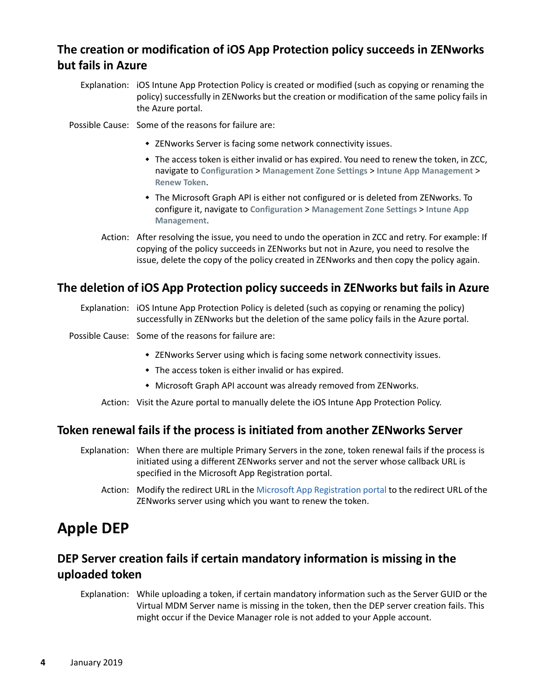# **The creation or modification of iOS App Protection policy succeeds in ZENworks but fails in Azure**

Explanation: iOS Intune App Protection Policy is created or modified (such as copying or renaming the policy) successfully in ZENworks but the creation or modification of the same policy fails in the Azure portal.

Possible Cause: Some of the reasons for failure are:

- ZENworks Server is facing some network connectivity issues.
- The access token is either invalid or has expired. You need to renew the token, in ZCC, navigate to **Configuration** > **Management Zone Settings** > **Intune App Management** > **Renew Token**.
- The Microsoft Graph API is either not configured or is deleted from ZENworks. To configure it, navigate to **Configuration** > **Management Zone Settings** > **Intune App Management**.
- Action: After resolving the issue, you need to undo the operation in ZCC and retry. For example: If copying of the policy succeeds in ZENworks but not in Azure, you need to resolve the issue, delete the copy of the policy created in ZENworks and then copy the policy again.

#### **The deletion of iOS App Protection policy succeeds in ZENworks but fails in Azure**

- Explanation: iOS Intune App Protection Policy is deleted (such as copying or renaming the policy) successfully in ZENworks but the deletion of the same policy fails in the Azure portal.
- Possible Cause: Some of the reasons for failure are:
	- ZENworks Server using which is facing some network connectivity issues.
	- The access token is either invalid or has expired.
	- Microsoft Graph API account was already removed from ZENworks.

Action: Visit the Azure portal to manually delete the iOS Intune App Protection Policy.

#### **Token renewal fails if the process is initiated from another ZENworks Server**

- Explanation: When there are multiple Primary Servers in the zone, token renewal fails if the process is initiated using a different ZENworks server and not the server whose callback URL is specified in the Microsoft App Registration portal.
	- Action: Modify the redirect URL in the [Microsoft App Registration portal](https://apps.dev.microsoft.com) to the redirect URL of the ZENworks server using which you want to renew the token.

# <span id="page-3-0"></span>**Apple DEP**

# **DEP Server creation fails if certain mandatory information is missing in the uploaded token**

Explanation: While uploading a token, if certain mandatory information such as the Server GUID or the Virtual MDM Server name is missing in the token, then the DEP server creation fails. This might occur if the Device Manager role is not added to your Apple account.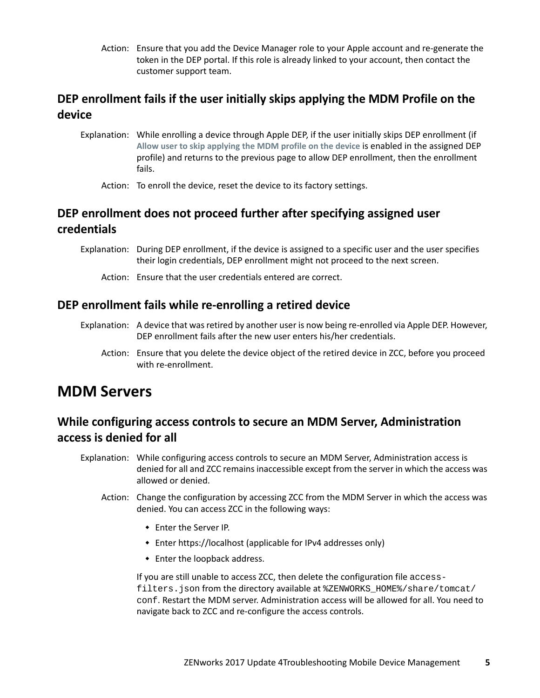Action: Ensure that you add the Device Manager role to your Apple account and re-generate the token in the DEP portal. If this role is already linked to your account, then contact the customer support team.

# **DEP enrollment fails if the user initially skips applying the MDM Profile on the device**

Explanation: While enrolling a device through Apple DEP, if the user initially skips DEP enrollment (if **Allow user to skip applying the MDM profile on the device** is enabled in the assigned DEP profile) and returns to the previous page to allow DEP enrollment, then the enrollment fails.

Action: To enroll the device, reset the device to its factory settings.

# **DEP enrollment does not proceed further after specifying assigned user credentials**

- Explanation: During DEP enrollment, if the device is assigned to a specific user and the user specifies their login credentials, DEP enrollment might not proceed to the next screen.
	- Action: Ensure that the user credentials entered are correct.

#### **DEP enrollment fails while re-enrolling a retired device**

- Explanation: A device that was retired by another user is now being re-enrolled via Apple DEP. However, DEP enrollment fails after the new user enters his/her credentials.
	- Action: Ensure that you delete the device object of the retired device in ZCC, before you proceed with re-enrollment.

# <span id="page-4-0"></span>**MDM Servers**

# **While configuring access controls to secure an MDM Server, Administration access is denied for all**

- Explanation: While configuring access controls to secure an MDM Server, Administration access is denied for all and ZCC remains inaccessible except from the server in which the access was allowed or denied.
	- Action: Change the configuration by accessing ZCC from the MDM Server in which the access was denied. You can access ZCC in the following ways:
		- Enter the Server IP.
		- Enter https://localhost (applicable for IPv4 addresses only)
		- Enter the loopback address.

If you are still unable to access ZCC, then delete the configuration file accessfilters.json from the directory available at %ZENWORKS\_HOME%/share/tomcat/ conf. Restart the MDM server. Administration access will be allowed for all. You need to navigate back to ZCC and re-configure the access controls.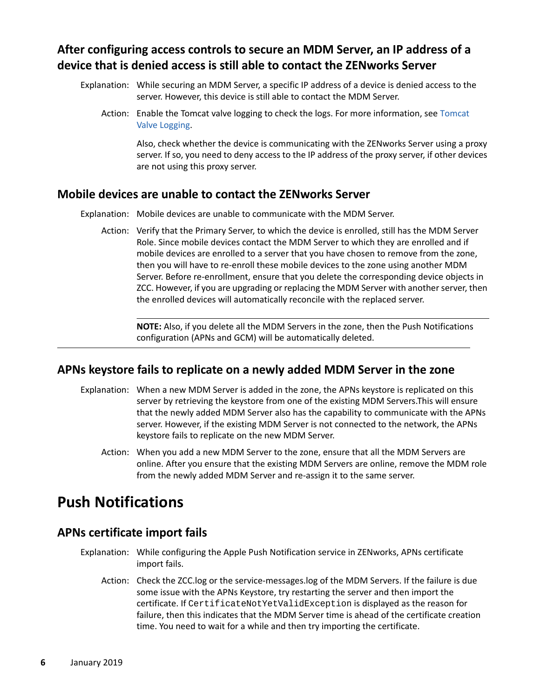# **After configuring access controls to secure an MDM Server, an IP address of a device that is denied access is still able to contact the ZENworks Server**

- Explanation: While securing an MDM Server, a specific IP address of a device is denied access to the server. However, this device is still able to contact the MDM Server.
	- Action: Enable the Tomcat valve logging to check the logs. For more information, see [Tomcat](https://www.novell.com/documentation/zenworks-2017-update-4/pdfdoc/zen_cm_deployment_bp/zen_cm_deployment_bp.pdf#b19ni1ve)  [Valve Logging.](https://www.novell.com/documentation/zenworks-2017-update-4/pdfdoc/zen_cm_deployment_bp/zen_cm_deployment_bp.pdf#b19ni1ve)

Also, check whether the device is communicating with the ZENworks Server using a proxy server. If so, you need to deny access to the IP address of the proxy server, if other devices are not using this proxy server.

#### **Mobile devices are unable to contact the ZENworks Server**

Explanation: Mobile devices are unable to communicate with the MDM Server.

Action: Verify that the Primary Server, to which the device is enrolled, still has the MDM Server Role. Since mobile devices contact the MDM Server to which they are enrolled and if mobile devices are enrolled to a server that you have chosen to remove from the zone, then you will have to re-enroll these mobile devices to the zone using another MDM Server. Before re-enrollment, ensure that you delete the corresponding device objects in ZCC. However, if you are upgrading or replacing the MDM Server with another server, then the enrolled devices will automatically reconcile with the replaced server.

**NOTE:** Also, if you delete all the MDM Servers in the zone, then the Push Notifications configuration (APNs and GCM) will be automatically deleted.

#### **APNs keystore fails to replicate on a newly added MDM Server in the zone**

- Explanation: When a new MDM Server is added in the zone, the APNs keystore is replicated on this server by retrieving the keystore from one of the existing MDM Servers.This will ensure that the newly added MDM Server also has the capability to communicate with the APNs server. However, if the existing MDM Server is not connected to the network, the APNs keystore fails to replicate on the new MDM Server.
	- Action: When you add a new MDM Server to the zone, ensure that all the MDM Servers are online. After you ensure that the existing MDM Servers are online, remove the MDM role from the newly added MDM Server and re-assign it to the same server.

# <span id="page-5-0"></span>**Push Notifications**

#### **APNs certificate import fails**

- Explanation: While configuring the Apple Push Notification service in ZENworks, APNs certificate import fails.
	- Action: Check the ZCC.log or the service-messages.log of the MDM Servers. If the failure is due some issue with the APNs Keystore, try restarting the server and then import the certificate. If CertificateNotYetValidException is displayed as the reason for failure, then this indicates that the MDM Server time is ahead of the certificate creation time. You need to wait for a while and then try importing the certificate.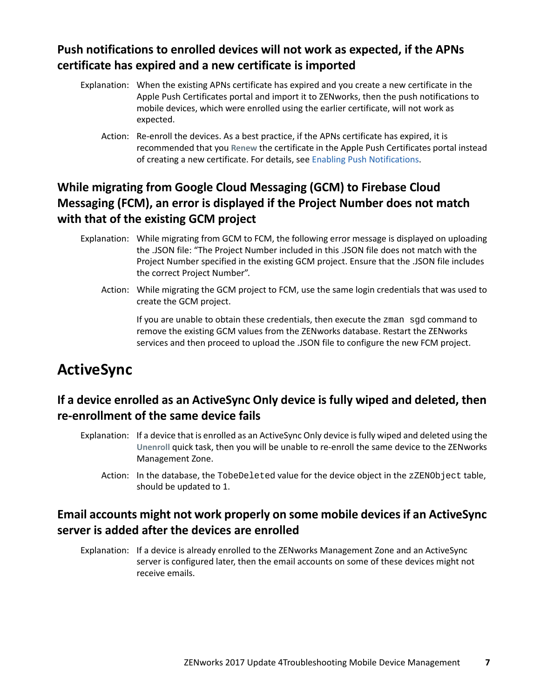# **Push notifications to enrolled devices will not work as expected, if the APNs certificate has expired and a new certificate is imported**

- Explanation: When the existing APNs certificate has expired and you create a new certificate in the Apple Push Certificates portal and import it to ZENworks, then the push notifications to mobile devices, which were enrolled using the earlier certificate, will not work as expected.
	- Action: Re-enroll the devices. As a best practice, if the APNs certificate has expired, it is recommended that you **Renew** the certificate in the Apple Push Certificates portal instead of creating a new certificate. For details, see [Enabling Push Notifications](https://www.novell.com/documentation/zenworks-2017-update-4/pdfdoc/zen_mobile/zen_mobile.pdf#b1826u61).

# **While migrating from Google Cloud Messaging (GCM) to Firebase Cloud Messaging (FCM), an error is displayed if the Project Number does not match with that of the existing GCM project**

- Explanation: While migrating from GCM to FCM, the following error message is displayed on uploading the .JSON file: "The Project Number included in this .JSON file does not match with the Project Number specified in the existing GCM project. Ensure that the .JSON file includes the correct Project Number".
	- Action: While migrating the GCM project to FCM, use the same login credentials that was used to create the GCM project.

If you are unable to obtain these credentials, then execute the zman sgd command to remove the existing GCM values from the ZENworks database. Restart the ZENworks services and then proceed to upload the .JSON file to configure the new FCM project.

# <span id="page-6-0"></span>**ActiveSync**

# **If a device enrolled as an ActiveSync Only device is fully wiped and deleted, then re-enrollment of the same device fails**

- Explanation: If a device that is enrolled as an ActiveSync Only device is fully wiped and deleted using the **Unenroll** quick task, then you will be unable to re-enroll the same device to the ZENworks Management Zone.
	- Action: In the database, the TobeDeleted value for the device object in the zZENObject table, should be updated to 1.

## **Email accounts might not work properly on some mobile devices if an ActiveSync server is added after the devices are enrolled**

Explanation: If a device is already enrolled to the ZENworks Management Zone and an ActiveSync server is configured later, then the email accounts on some of these devices might not receive emails.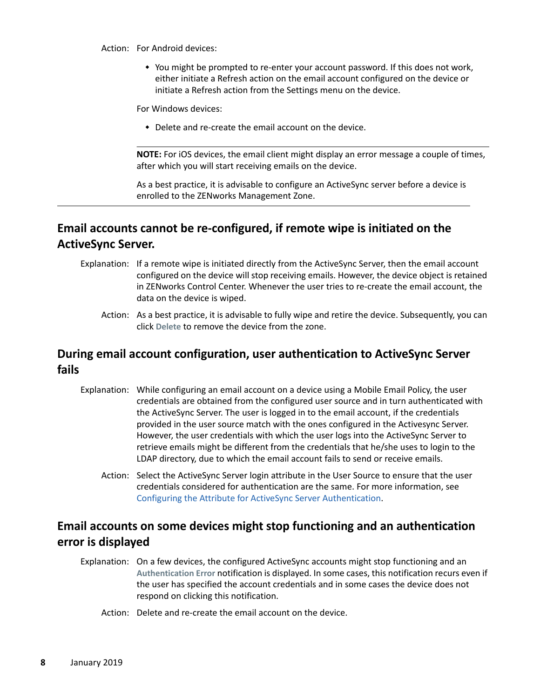Action: For Android devices:

 You might be prompted to re-enter your account password. If this does not work, either initiate a Refresh action on the email account configured on the device or initiate a Refresh action from the Settings menu on the device.

For Windows devices:

Delete and re-create the email account on the device.

**NOTE:** For iOS devices, the email client might display an error message a couple of times, after which you will start receiving emails on the device.

As a best practice, it is advisable to configure an ActiveSync server before a device is enrolled to the ZENworks Management Zone.

# **Email accounts cannot be re-configured, if remote wipe is initiated on the ActiveSync Server.**

- Explanation: If a remote wipe is initiated directly from the ActiveSync Server, then the email account configured on the device will stop receiving emails. However, the device object is retained in ZENworks Control Center. Whenever the user tries to re-create the email account, the data on the device is wiped.
	- Action: As a best practice, it is advisable to fully wipe and retire the device. Subsequently, you can click **Delete** to remove the device from the zone.

#### **During email account configuration, user authentication to ActiveSync Server fails**

- Explanation: While configuring an email account on a device using a Mobile Email Policy, the user credentials are obtained from the configured user source and in turn authenticated with the ActiveSync Server. The user is logged in to the email account, if the credentials provided in the user source match with the ones configured in the Activesync Server. However, the user credentials with which the user logs into the ActiveSync Server to retrieve emails might be different from the credentials that he/she uses to login to the LDAP directory, due to which the email account fails to send or receive emails.
	- Action: Select the ActiveSync Server login attribute in the User Source to ensure that the user credentials considered for authentication are the same. For more information, see [Configuring the Attribute for ActiveSync Server Authentication](https://www.novell.com/documentation/zenworks-2017-update-4/pdfdoc/zen_mobile/zen_mobile.pdf#t42z4gils3gp).

## **Email accounts on some devices might stop functioning and an authentication error is displayed**

- Explanation: On a few devices, the configured ActiveSync accounts might stop functioning and an **Authentication Error** notification is displayed. In some cases, this notification recurs even if the user has specified the account credentials and in some cases the device does not respond on clicking this notification.
	- Action: Delete and re-create the email account on the device.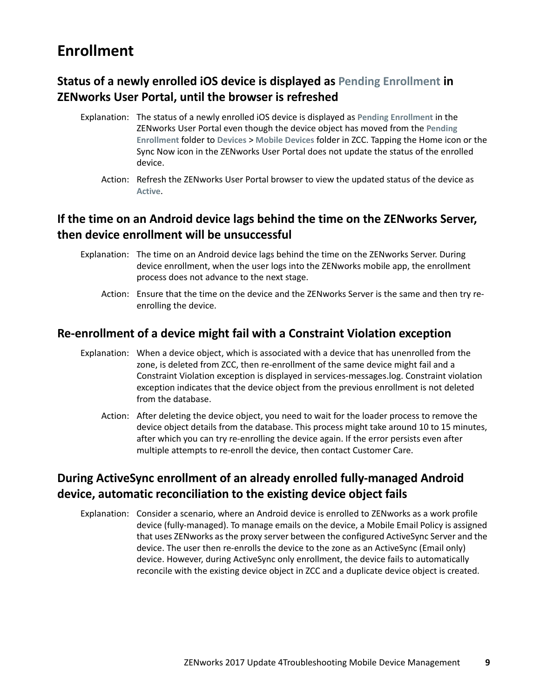# <span id="page-8-0"></span>**Enrollment**

# **Status of a newly enrolled iOS device is displayed as Pending Enrollment in ZENworks User Portal, until the browser is refreshed**

- Explanation: The status of a newly enrolled iOS device is displayed as **Pending Enrollment** in the ZENworks User Portal even though the device object has moved from the **Pending Enrollment** folder to **Devices** > **Mobile Devices** folder in ZCC. Tapping the Home icon or the Sync Now icon in the ZENworks User Portal does not update the status of the enrolled device.
	- Action: Refresh the ZENworks User Portal browser to view the updated status of the device as **Active**.

# **If the time on an Android device lags behind the time on the ZENworks Server, then device enrollment will be unsuccessful**

- Explanation: The time on an Android device lags behind the time on the ZENworks Server. During device enrollment, when the user logs into the ZENworks mobile app, the enrollment process does not advance to the next stage.
	- Action: Ensure that the time on the device and the ZENworks Server is the same and then try reenrolling the device.

#### **Re-enrollment of a device might fail with a Constraint Violation exception**

- Explanation: When a device object, which is associated with a device that has unenrolled from the zone, is deleted from ZCC, then re-enrollment of the same device might fail and a Constraint Violation exception is displayed in services-messages.log. Constraint violation exception indicates that the device object from the previous enrollment is not deleted from the database.
	- Action: After deleting the device object, you need to wait for the loader process to remove the device object details from the database. This process might take around 10 to 15 minutes, after which you can try re-enrolling the device again. If the error persists even after multiple attempts to re-enroll the device, then contact Customer Care.

# **During ActiveSync enrollment of an already enrolled fully-managed Android device, automatic reconciliation to the existing device object fails**

Explanation: Consider a scenario, where an Android device is enrolled to ZENworks as a work profile device (fully-managed). To manage emails on the device, a Mobile Email Policy is assigned that uses ZENworks as the proxy server between the configured ActiveSync Server and the device. The user then re-enrolls the device to the zone as an ActiveSync (Email only) device. However, during ActiveSync only enrollment, the device fails to automatically reconcile with the existing device object in ZCC and a duplicate device object is created.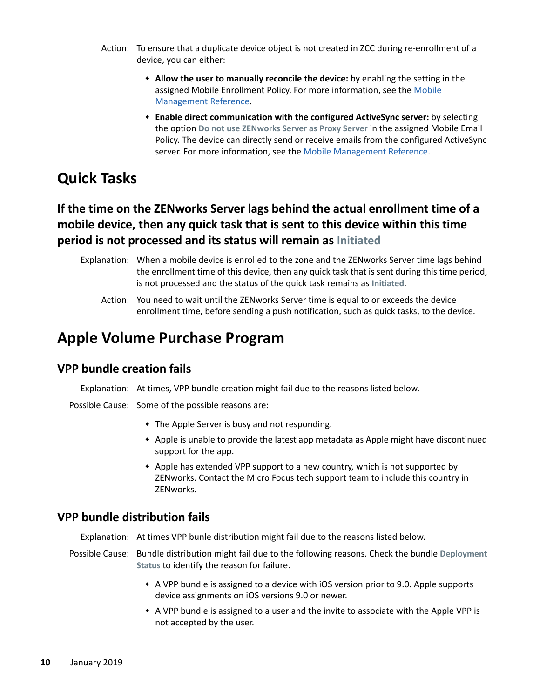- Action: To ensure that a duplicate device object is not created in ZCC during re-enrollment of a device, you can either:
	- **Allow the user to manually reconcile the device:** by enabling the setting in the assigned Mobile Enrollment Policy. For more information, see the [Mobile](https://www.novell.com/documentation/zenworks-2017-update-4/zen_mobile/data/t47m0uut26pg.html)  [Management Reference](https://www.novell.com/documentation/zenworks-2017-update-4/zen_mobile/data/t47m0uut26pg.html).
	- **Enable direct communication with the configured ActiveSync server:** by selecting the option **Do not use ZENworks Server as Proxy Server** in the assigned Mobile Email Policy. The device can directly send or receive emails from the configured ActiveSync server. For more information, see the [Mobile Management Reference](https://www.novell.com/documentation/zenworks-2017-update-4/zen_mobile/data/t47mbvq1rasv.html).

# <span id="page-9-0"></span>**Quick Tasks**

# **If the time on the ZENworks Server lags behind the actual enrollment time of a mobile device, then any quick task that is sent to this device within this time period is not processed and its status will remain as Initiated**

- Explanation: When a mobile device is enrolled to the zone and the ZENworks Server time lags behind the enrollment time of this device, then any quick task that is sent during this time period, is not processed and the status of the quick task remains as **Initiated**.
	- Action: You need to wait until the ZENworks Server time is equal to or exceeds the device enrollment time, before sending a push notification, such as quick tasks, to the device.

# <span id="page-9-1"></span>**Apple Volume Purchase Program**

#### **VPP bundle creation fails**

Explanation: At times, VPP bundle creation might fail due to the reasons listed below.

Possible Cause: Some of the possible reasons are:

- The Apple Server is busy and not responding.
- Apple is unable to provide the latest app metadata as Apple might have discontinued support for the app.
- Apple has extended VPP support to a new country, which is not supported by ZENworks. Contact the Micro Focus tech support team to include this country in ZENworks.

#### **VPP bundle distribution fails**

Explanation: At times VPP bunle distribution might fail due to the reasons listed below.

- Possible Cause: Bundle distribution might fail due to the following reasons. Check the bundle **Deployment Status** to identify the reason for failure.
	- A VPP bundle is assigned to a device with iOS version prior to 9.0. Apple supports device assignments on iOS versions 9.0 or newer.
	- A VPP bundle is assigned to a user and the invite to associate with the Apple VPP is not accepted by the user.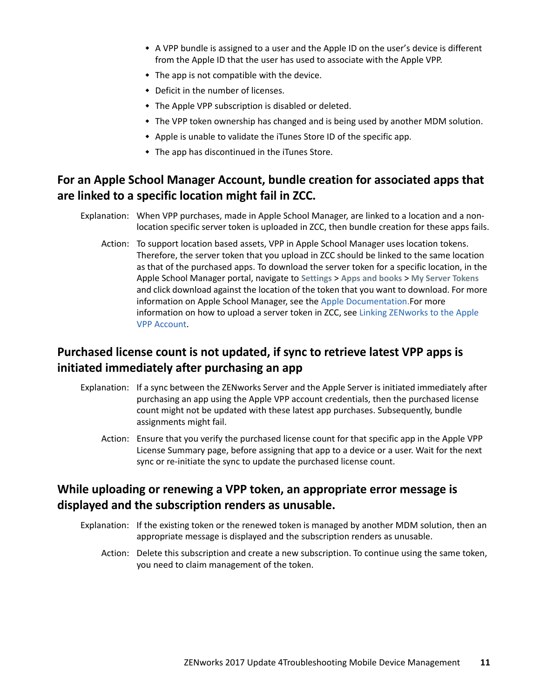- A VPP bundle is assigned to a user and the Apple ID on the user's device is different from the Apple ID that the user has used to associate with the Apple VPP.
- $\bullet$  The app is not compatible with the device.
- Deficit in the number of licenses.
- The Apple VPP subscription is disabled or deleted.
- The VPP token ownership has changed and is being used by another MDM solution.
- Apple is unable to validate the iTunes Store ID of the specific app.
- The app has discontinued in the iTunes Store.

# **For an Apple School Manager Account, bundle creation for associated apps that are linked to a specific location might fail in ZCC.**

- Explanation: When VPP purchases, made in Apple School Manager, are linked to a location and a nonlocation specific server token is uploaded in ZCC, then bundle creation for these apps fails.
	- Action: To support location based assets, VPP in Apple School Manager uses location tokens. Therefore, the server token that you upload in ZCC should be linked to the same location as that of the purchased apps. To download the server token for a specific location, in the Apple School Manager portal, navigate to **Settings** > **Apps and books** > **My Server Tokens** and click download against the location of the token that you want to download. For more information on Apple School Manager, see the [Apple Documentation.F](https://developer.apple.com/library/archive/documentation/Miscellaneous/Reference/MobileDeviceManagementProtocolRef/5-Web_Service_Protocol_VPP/webservice.html#//apple_ref/doc/uid/TP40017387-CH8-SW23)or more information on how to upload a server token in ZCC, see [Linking ZENworks to the Apple](https://www.novell.com/documentation/zenworks-2017-update-4/pdfdoc/zen_mobile/zen_mobile.pdf#t47nkqo2g30p)  [VPP Account.](https://www.novell.com/documentation/zenworks-2017-update-4/pdfdoc/zen_mobile/zen_mobile.pdf#t47nkqo2g30p)

## **Purchased license count is not updated, if sync to retrieve latest VPP apps is initiated immediately after purchasing an app**

- Explanation: If a sync between the ZENworks Server and the Apple Server is initiated immediately after purchasing an app using the Apple VPP account credentials, then the purchased license count might not be updated with these latest app purchases. Subsequently, bundle assignments might fail.
	- Action: Ensure that you verify the purchased license count for that specific app in the Apple VPP License Summary page, before assigning that app to a device or a user. Wait for the next sync or re-initiate the sync to update the purchased license count.

#### **While uploading or renewing a VPP token, an appropriate error message is displayed and the subscription renders as unusable.**

- Explanation: If the existing token or the renewed token is managed by another MDM solution, then an appropriate message is displayed and the subscription renders as unusable.
	- Action: Delete this subscription and create a new subscription. To continue using the same token, you need to claim management of the token.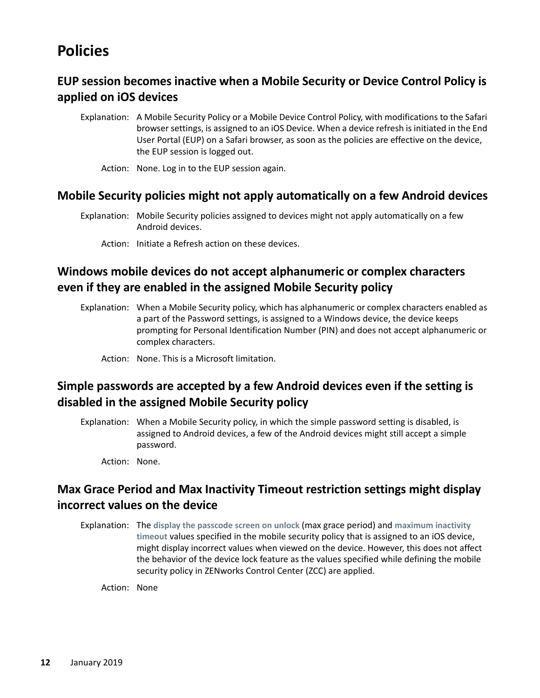# <span id="page-11-0"></span>**Policies**

# **EUP session becomes inactive when a Mobile Security or Device Control Policy is applied on iOS devices**

- Explanation: A Mobile Security Policy or a Mobile Device Control Policy, with modifications to the Safari browser settings, is assigned to an iOS Device. When a device refresh is initiated in the End User Portal (EUP) on a Safari browser, as soon as the policies are effective on the device, the EUP session is logged out.
	- Action: None. Log in to the EUP session again.

#### **Mobile Security policies might not apply automatically on a few Android devices**

- Explanation: Mobile Security policies assigned to devices might not apply automatically on a few Android devices.
	- Action: Initiate a Refresh action on these devices.

# **Windows mobile devices do not accept alphanumeric or complex characters even if they are enabled in the assigned Mobile Security policy**

- Explanation: When a Mobile Security policy, which has alphanumeric or complex characters enabled as a part of the Password settings, is assigned to a Windows device, the device keeps prompting for Personal Identification Number (PIN) and does not accept alphanumeric or complex characters.
	- Action: None. This is a Microsoft limitation.

# **Simple passwords are accepted by a few Android devices even if the setting is disabled in the assigned Mobile Security policy**

- Explanation: When a Mobile Security policy, in which the simple password setting is disabled, is assigned to Android devices, a few of the Android devices might still accept a simple password.
	- Action: None.

## **Max Grace Period and Max Inactivity Timeout restriction settings might display incorrect values on the device**

Explanation: The **display the passcode screen on unlock** (max grace period) and **maximum inactivity timeout** values specified in the mobile security policy that is assigned to an iOS device, might display incorrect values when viewed on the device. However, this does not affect the behavior of the device lock feature as the values specified while defining the mobile security policy in ZENworks Control Center (ZCC) are applied.

Action: None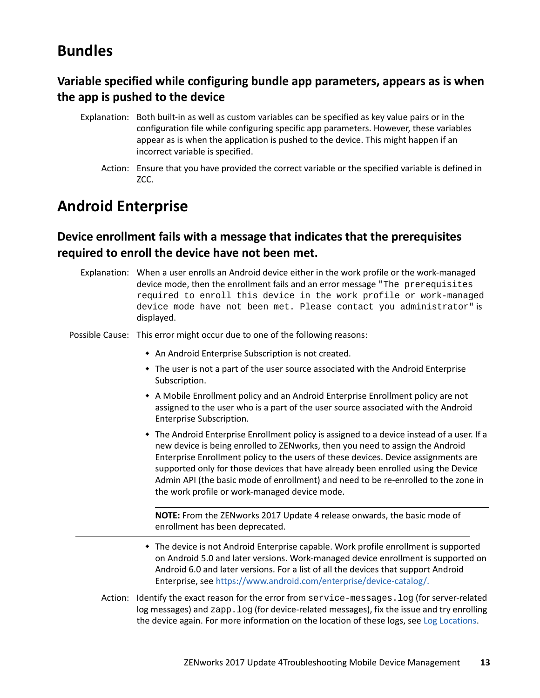# <span id="page-12-0"></span>**Bundles**

# **Variable specified while configuring bundle app parameters, appears as is when the app is pushed to the device**

- Explanation: Both built-in as well as custom variables can be specified as key value pairs or in the configuration file while configuring specific app parameters. However, these variables appear as is when the application is pushed to the device. This might happen if an incorrect variable is specified.
	- Action: Ensure that you have provided the correct variable or the specified variable is defined in ZCC.

# <span id="page-12-1"></span>**Android Enterprise**

## **Device enrollment fails with a message that indicates that the prerequisites required to enroll the device have not been met.**

Explanation: When a user enrolls an Android device either in the work profile or the work-managed device mode, then the enrollment fails and an error message "The prerequisites required to enroll this device in the work profile or work-managed device mode have not been met. Please contact you administrator" is displayed.

Possible Cause: This error might occur due to one of the following reasons:

- An Android Enterprise Subscription is not created.
- The user is not a part of the user source associated with the Android Enterprise Subscription.
- A Mobile Enrollment policy and an Android Enterprise Enrollment policy are not assigned to the user who is a part of the user source associated with the Android Enterprise Subscription.
- The Android Enterprise Enrollment policy is assigned to a device instead of a user. If a new device is being enrolled to ZENworks, then you need to assign the Android Enterprise Enrollment policy to the users of these devices. Device assignments are supported only for those devices that have already been enrolled using the Device Admin API (the basic mode of enrollment) and need to be re-enrolled to the zone in the work profile or work-managed device mode.

**NOTE:** From the ZENworks 2017 Update 4 release onwards, the basic mode of enrollment has been deprecated.

- The device is not Android Enterprise capable. Work profile enrollment is supported on Android 5.0 and later versions. Work-managed device enrollment is supported on Android 6.0 and later versions. For a list of all the devices that support Android Enterprise, see [https://www.android.com/enterprise/device-catalog/.](https://www.android.com/enterprise/device-catalog/)
- Action: Identify the exact reason for the error from service-messages.log (for server-related log messages) and  $z$ app.  $log$  (for device-related messages), fix the issue and try enrolling the device again. For more information on the location of these logs, see [Log Locations.](#page-0-0)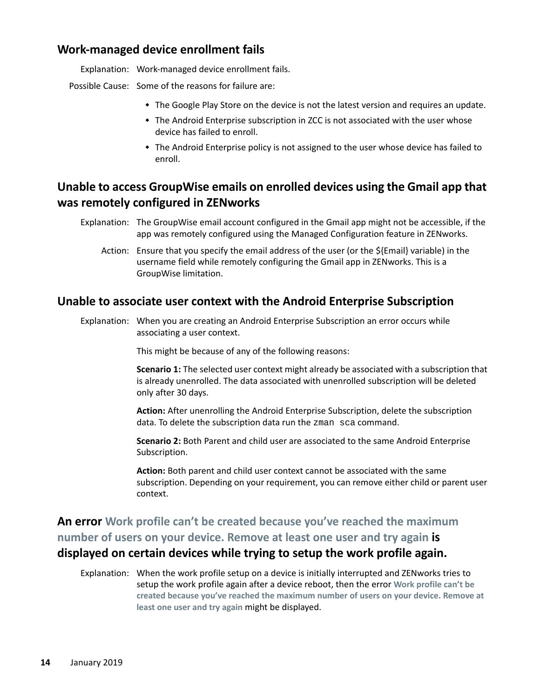#### **Work-managed device enrollment fails**

Explanation: Work-managed device enrollment fails.

Possible Cause: Some of the reasons for failure are:

- The Google Play Store on the device is not the latest version and requires an update.
- The Android Enterprise subscription in ZCC is not associated with the user whose device has failed to enroll.
- The Android Enterprise policy is not assigned to the user whose device has failed to enroll.

## **Unable to access GroupWise emails on enrolled devices using the Gmail app that was remotely configured in ZENworks**

- Explanation: The GroupWise email account configured in the Gmail app might not be accessible, if the app was remotely configured using the Managed Configuration feature in ZENworks.
	- Action: Ensure that you specify the email address of the user (or the \${Email} variable) in the username field while remotely configuring the Gmail app in ZENworks. This is a GroupWise limitation.

#### **Unable to associate user context with the Android Enterprise Subscription**

Explanation: When you are creating an Android Enterprise Subscription an error occurs while associating a user context.

This might be because of any of the following reasons:

**Scenario 1:** The selected user context might already be associated with a subscription that is already unenrolled. The data associated with unenrolled subscription will be deleted only after 30 days.

**Action:** After unenrolling the Android Enterprise Subscription, delete the subscription data. To delete the subscription data run the zman sca command.

**Scenario 2:** Both Parent and child user are associated to the same Android Enterprise Subscription.

**Action:** Both parent and child user context cannot be associated with the same subscription. Depending on your requirement, you can remove either child or parent user context.

**An error Work profile can't be created because you've reached the maximum number of users on your device. Remove at least one user and try again is displayed on certain devices while trying to setup the work profile again.**

Explanation: When the work profile setup on a device is initially interrupted and ZENworks tries to setup the work profile again after a device reboot, then the error **Work profile can't be created because you've reached the maximum number of users on your device. Remove at least one user and try again** might be displayed.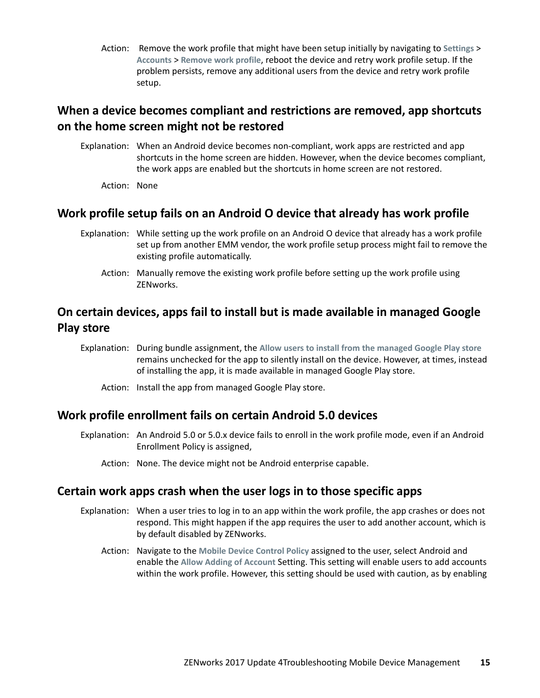Action: Remove the work profile that might have been setup initially by navigating to **Settings** > **Accounts** > **Remove work profile**, reboot the device and retry work profile setup. If the problem persists, remove any additional users from the device and retry work profile setup.

## **When a device becomes compliant and restrictions are removed, app shortcuts on the home screen might not be restored**

- Explanation: When an Android device becomes non-compliant, work apps are restricted and app shortcuts in the home screen are hidden. However, when the device becomes compliant, the work apps are enabled but the shortcuts in home screen are not restored.
	- Action: None

#### **Work profile setup fails on an Android O device that already has work profile**

- Explanation: While setting up the work profile on an Android O device that already has a work profile set up from another EMM vendor, the work profile setup process might fail to remove the existing profile automatically.
	- Action: Manually remove the existing work profile before setting up the work profile using ZENworks.

# **On certain devices, apps fail to install but is made available in managed Google Play store**

- Explanation: During bundle assignment, the **Allow users to install from the managed Google Play store** remains unchecked for the app to silently install on the device. However, at times, instead of installing the app, it is made available in managed Google Play store.
	- Action: Install the app from managed Google Play store.

#### **Work profile enrollment fails on certain Android 5.0 devices**

- Explanation: An Android 5.0 or 5.0.x device fails to enroll in the work profile mode, even if an Android Enrollment Policy is assigned,
	- Action: None. The device might not be Android enterprise capable.

#### **Certain work apps crash when the user logs in to those specific apps**

- Explanation: When a user tries to log in to an app within the work profile, the app crashes or does not respond. This might happen if the app requires the user to add another account, which is by default disabled by ZENworks.
	- Action: Navigate to the **Mobile Device Control Policy** assigned to the user, select Android and enable the **Allow Adding of Account** Setting. This setting will enable users to add accounts within the work profile. However, this setting should be used with caution, as by enabling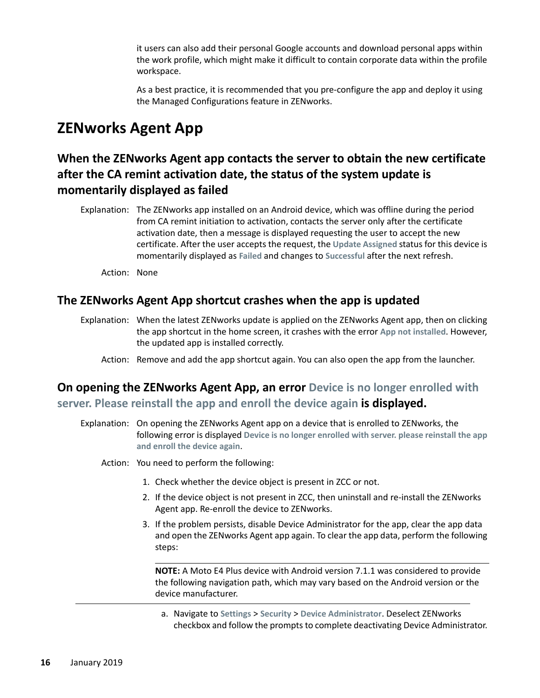it users can also add their personal Google accounts and download personal apps within the work profile, which might make it difficult to contain corporate data within the profile workspace.

As a best practice, it is recommended that you pre-configure the app and deploy it using the Managed Configurations feature in ZENworks.

# <span id="page-15-0"></span>**ZENworks Agent App**

# **When the ZENworks Agent app contacts the server to obtain the new certificate after the CA remint activation date, the status of the system update is momentarily displayed as failed**

Explanation: The ZENworks app installed on an Android device, which was offline during the period from CA remint initiation to activation, contacts the server only after the certificate activation date, then a message is displayed requesting the user to accept the new certificate. After the user accepts the request, the **Update Assigned** status for this device is momentarily displayed as **Failed** and changes to **Successful** after the next refresh.

Action: None

#### **The ZENworks Agent App shortcut crashes when the app is updated**

- Explanation: When the latest ZENworks update is applied on the ZENworks Agent app, then on clicking the app shortcut in the home screen, it crashes with the error **App not installed**. However, the updated app is installed correctly.
	- Action: Remove and add the app shortcut again. You can also open the app from the launcher.

# **On opening the ZENworks Agent App, an error Device is no longer enrolled with server. Please reinstall the app and enroll the device again is displayed.**

- Explanation: On opening the ZENworks Agent app on a device that is enrolled to ZENworks, the following error is displayed **Device is no longer enrolled with server. please reinstall the app and enroll the device again**.
	- Action: You need to perform the following:
		- 1. Check whether the device object is present in ZCC or not.
		- 2. If the device object is not present in ZCC, then uninstall and re-install the ZENworks Agent app. Re-enroll the device to ZENworks.
		- 3. If the problem persists, disable Device Administrator for the app, clear the app data and open the ZENworks Agent app again. To clear the app data, perform the following steps:

**NOTE:** A Moto E4 Plus device with Android version 7.1.1 was considered to provide the following navigation path, which may vary based on the Android version or the device manufacturer.

a. Navigate to **Settings** > **Security** > **Device Administrator**. Deselect ZENworks checkbox and follow the prompts to complete deactivating Device Administrator.